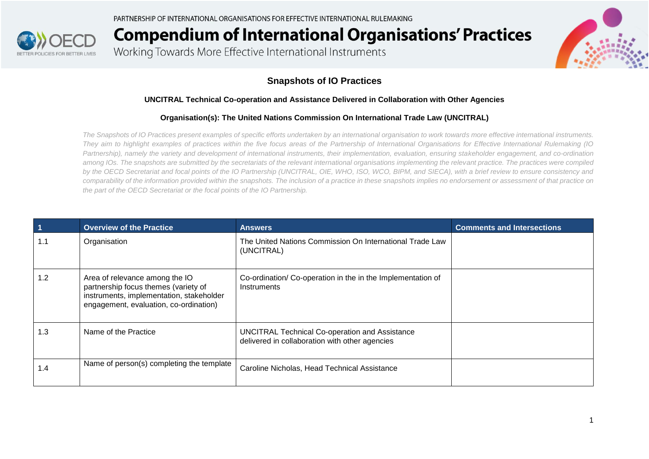

Working Towards More Effective International Instruments



#### **Snapshots of IO Practices**

#### **UNCITRAL Technical Co-operation and Assistance Delivered in Collaboration with Other Agencies**

#### **Organisation(s): The United Nations Commission On International Trade Law (UNCITRAL)**

*The Snapshots of IO Practices present examples of specific efforts undertaken by an international organisation to work towards more effective international instruments. They aim to highlight examples of practices within the five focus areas of the Partnership of International Organisations for Effective International Rulemaking (IO Partnership), namely the variety and development of international instruments, their implementation, evaluation, ensuring stakeholder engagement, and co-ordination*  among IOs. The snapshots are submitted by the secretariats of the relevant international organisations implementing the relevant practice. The practices were compiled *by the OECD Secretariat and focal points of the IO Partnership (UNCITRAL, OIE, WHO, ISO, WCO, BIPM, and SIECA), with a brief review to ensure consistency and comparability of the information provided within the snapshots. The inclusion of a practice in these snapshots implies no endorsement or assessment of that practice on the part of the OECD Secretariat or the focal points of the IO Partnership.*

| $\blacktriangleleft$ | <b>Overview of the Practice</b>                                                                                                                              | <b>Answers</b>                                                                                          | <b>Comments and Intersections</b> |
|----------------------|--------------------------------------------------------------------------------------------------------------------------------------------------------------|---------------------------------------------------------------------------------------------------------|-----------------------------------|
| 1.1                  | Organisation                                                                                                                                                 | The United Nations Commission On International Trade Law<br>(UNCITRAL)                                  |                                   |
| 1.2                  | Area of relevance among the IO<br>partnership focus themes (variety of<br>instruments, implementation, stakeholder<br>engagement, evaluation, co-ordination) | Co-ordination/Co-operation in the in the Implementation of<br>Instruments                               |                                   |
| 1.3                  | Name of the Practice                                                                                                                                         | <b>UNCITRAL Technical Co-operation and Assistance</b><br>delivered in collaboration with other agencies |                                   |
| 1.4                  | Name of person(s) completing the template                                                                                                                    | Caroline Nicholas, Head Technical Assistance                                                            |                                   |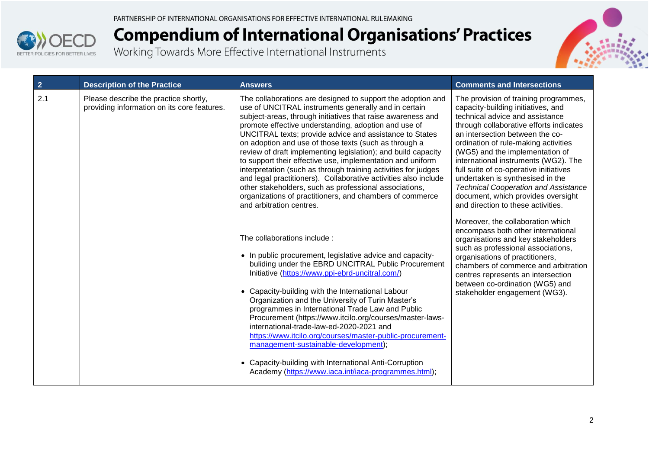



| $\overline{2}$ | <b>Description of the Practice</b>                                                   | <b>Answers</b>                                                                                                                                                                                                                                                                                                                                                                                                                                                                                                                                                                                                                                                                                                                                                                       | <b>Comments and Intersections</b>                                                                                                                                                                                                                                                                                                                                                                                                                                                                                        |
|----------------|--------------------------------------------------------------------------------------|--------------------------------------------------------------------------------------------------------------------------------------------------------------------------------------------------------------------------------------------------------------------------------------------------------------------------------------------------------------------------------------------------------------------------------------------------------------------------------------------------------------------------------------------------------------------------------------------------------------------------------------------------------------------------------------------------------------------------------------------------------------------------------------|--------------------------------------------------------------------------------------------------------------------------------------------------------------------------------------------------------------------------------------------------------------------------------------------------------------------------------------------------------------------------------------------------------------------------------------------------------------------------------------------------------------------------|
| 2.1            | Please describe the practice shortly,<br>providing information on its core features. | The collaborations are designed to support the adoption and<br>use of UNCITRAL instruments generally and in certain<br>subject-areas, through initiatives that raise awareness and<br>promote effective understanding, adoption and use of<br>UNCITRAL texts; provide advice and assistance to States<br>on adoption and use of those texts (such as through a<br>review of draft implementing legislation); and build capacity<br>to support their effective use, implementation and uniform<br>interpretation (such as through training activities for judges<br>and legal practitioners). Collaborative activities also include<br>other stakeholders, such as professional associations,<br>organizations of practitioners, and chambers of commerce<br>and arbitration centres. | The provision of training programmes,<br>capacity-building initiatives, and<br>technical advice and assistance<br>through collaborative efforts indicates<br>an intersection between the co-<br>ordination of rule-making activities<br>(WG5) and the implementation of<br>international instruments (WG2). The<br>full suite of co-operative initiatives<br>undertaken is synthesised in the<br><b>Technical Cooperation and Assistance</b><br>document, which provides oversight<br>and direction to these activities. |
|                |                                                                                      | The collaborations include :<br>• In public procurement, legislative advice and capacity-<br>buliding under the EBRD UNCITRAL Public Procurement<br>Initiative (https://www.ppi-ebrd-uncitral.com/)<br>• Capacity-building with the International Labour<br>Organization and the University of Turin Master's<br>programmes in International Trade Law and Public<br>Procurement (https://www.itcilo.org/courses/master-laws-<br>international-trade-law-ed-2020-2021 and<br>https://www.itcilo.org/courses/master-public-procurement-<br>management-sustainable-development);<br>• Capacity-building with International Anti-Corruption<br>Academy (https://www.iaca.int/iaca-programmes.html);                                                                                     | Moreover, the collaboration which<br>encompass both other international<br>organisations and key stakeholders<br>such as professional associations,<br>organisations of practitioners,<br>chambers of commerce and arbitration<br>centres represents an intersection<br>between co-ordination (WG5) and<br>stakeholder engagement (WG3).                                                                                                                                                                                 |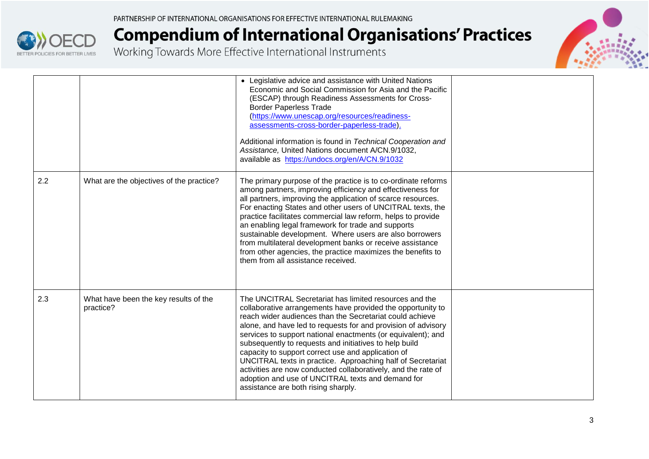



|     |                                                    | • Legislative advice and assistance with United Nations<br>Economic and Social Commission for Asia and the Pacific<br>(ESCAP) through Readiness Assessments for Cross-<br><b>Border Paperless Trade</b><br>(https://www.unescap.org/resources/readiness-<br>assessments-cross-border-paperless-trade).<br>Additional information is found in Technical Cooperation and<br>Assistance, United Nations document A/CN.9/1032,                                                                                                                                                                                                                                     |  |
|-----|----------------------------------------------------|----------------------------------------------------------------------------------------------------------------------------------------------------------------------------------------------------------------------------------------------------------------------------------------------------------------------------------------------------------------------------------------------------------------------------------------------------------------------------------------------------------------------------------------------------------------------------------------------------------------------------------------------------------------|--|
| 2.2 | What are the objectives of the practice?           | available as https://undocs.org/en/A/CN.9/1032<br>The primary purpose of the practice is to co-ordinate reforms                                                                                                                                                                                                                                                                                                                                                                                                                                                                                                                                                |  |
|     |                                                    | among partners, improving efficiency and effectiveness for<br>all partners, improving the application of scarce resources.<br>For enacting States and other users of UNCITRAL texts, the<br>practice facilitates commercial law reform, helps to provide<br>an enabling legal framework for trade and supports<br>sustainable development. Where users are also borrowers<br>from multilateral development banks or receive assistance<br>from other agencies, the practice maximizes the benefits to<br>them from all assistance received.                                                                                                                    |  |
| 2.3 | What have been the key results of the<br>practice? | The UNCITRAL Secretariat has limited resources and the<br>collaborative arrangements have provided the opportunity to<br>reach wider audiences than the Secretariat could achieve<br>alone, and have led to requests for and provision of advisory<br>services to support national enactments (or equivalent); and<br>subsequently to requests and initiatives to help build<br>capacity to support correct use and application of<br>UNCITRAL texts in practice. Approaching half of Secretariat<br>activities are now conducted collaboratively, and the rate of<br>adoption and use of UNCITRAL texts and demand for<br>assistance are both rising sharply. |  |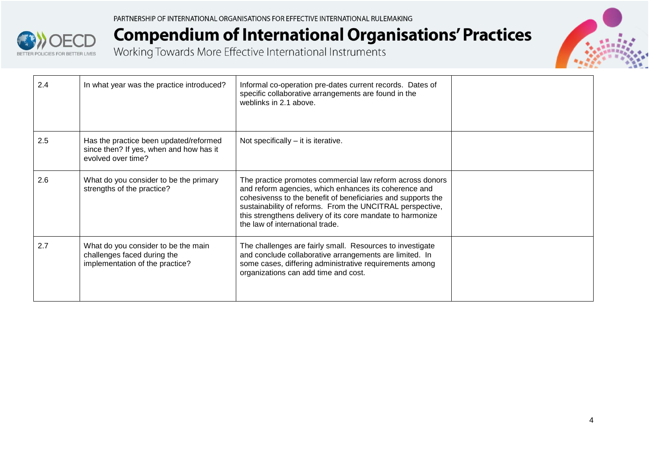



| 2.4 | In what year was the practice introduced?                                                               | Informal co-operation pre-dates current records. Dates of<br>specific collaborative arrangements are found in the<br>weblinks in 2.1 above.                                                                                                                                                                                                      |  |
|-----|---------------------------------------------------------------------------------------------------------|--------------------------------------------------------------------------------------------------------------------------------------------------------------------------------------------------------------------------------------------------------------------------------------------------------------------------------------------------|--|
| 2.5 | Has the practice been updated/reformed<br>since then? If yes, when and how has it<br>evolved over time? | Not specifically $-$ it is iterative.                                                                                                                                                                                                                                                                                                            |  |
| 2.6 | What do you consider to be the primary<br>strengths of the practice?                                    | The practice promotes commercial law reform across donors<br>and reform agencies, which enhances its coherence and<br>cohesivenss to the benefit of beneficiaries and supports the<br>sustainability of reforms. From the UNCITRAL perspective,<br>this strengthens delivery of its core mandate to harmonize<br>the law of international trade. |  |
| 2.7 | What do you consider to be the main<br>challenges faced during the<br>implementation of the practice?   | The challenges are fairly small. Resources to investigate<br>and conclude collaborative arrangements are limited. In<br>some cases, differing administrative requirements among<br>organizations can add time and cost.                                                                                                                          |  |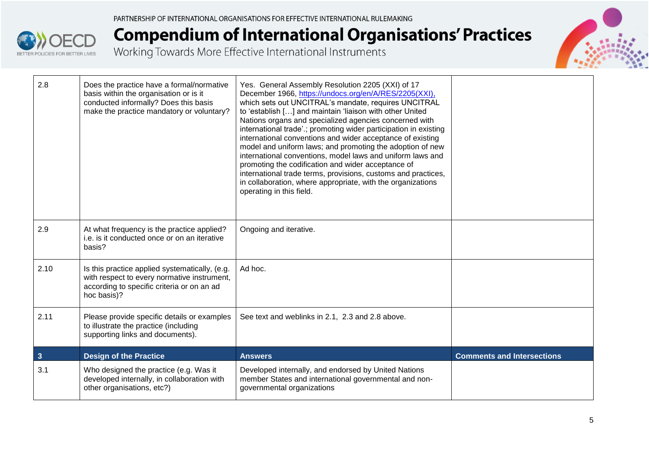



| 2.8                     | Does the practice have a formal/normative<br>basis within the organisation or is it<br>conducted informally? Does this basis<br>make the practice mandatory or voluntary? | Yes. General Assembly Resolution 2205 (XXI) of 17<br>December 1966, https://undocs.org/en/A/RES/2205(XXI),<br>which sets out UNCITRAL's mandate, requires UNCITRAL<br>to 'establish [] and maintain 'liaison with other United<br>Nations organs and specialized agencies concerned with<br>international trade' .; promoting wider participation in existing<br>international conventions and wider acceptance of existing<br>model and uniform laws; and promoting the adoption of new<br>international conventions, model laws and uniform laws and<br>promoting the codification and wider acceptance of<br>international trade terms, provisions, customs and practices,<br>in collaboration, where appropriate, with the organizations<br>operating in this field. |                                   |
|-------------------------|---------------------------------------------------------------------------------------------------------------------------------------------------------------------------|--------------------------------------------------------------------------------------------------------------------------------------------------------------------------------------------------------------------------------------------------------------------------------------------------------------------------------------------------------------------------------------------------------------------------------------------------------------------------------------------------------------------------------------------------------------------------------------------------------------------------------------------------------------------------------------------------------------------------------------------------------------------------|-----------------------------------|
| 2.9                     | At what frequency is the practice applied?<br>i.e. is it conducted once or on an iterative<br>basis?                                                                      | Ongoing and iterative.                                                                                                                                                                                                                                                                                                                                                                                                                                                                                                                                                                                                                                                                                                                                                   |                                   |
| 2.10                    | Is this practice applied systematically, (e.g.<br>with respect to every normative instrument,<br>according to specific criteria or on an ad<br>hoc basis)?                | Ad hoc.                                                                                                                                                                                                                                                                                                                                                                                                                                                                                                                                                                                                                                                                                                                                                                  |                                   |
| 2.11                    | Please provide specific details or examples<br>to illustrate the practice (including<br>supporting links and documents).                                                  | See text and weblinks in 2.1, 2.3 and 2.8 above.                                                                                                                                                                                                                                                                                                                                                                                                                                                                                                                                                                                                                                                                                                                         |                                   |
| $\overline{\mathbf{3}}$ | <b>Design of the Practice</b>                                                                                                                                             | <b>Answers</b>                                                                                                                                                                                                                                                                                                                                                                                                                                                                                                                                                                                                                                                                                                                                                           | <b>Comments and Intersections</b> |
| 3.1                     | Who designed the practice (e.g. Was it<br>developed internally, in collaboration with<br>other organisations, etc?)                                                       | Developed internally, and endorsed by United Nations<br>member States and international governmental and non-<br>governmental organizations                                                                                                                                                                                                                                                                                                                                                                                                                                                                                                                                                                                                                              |                                   |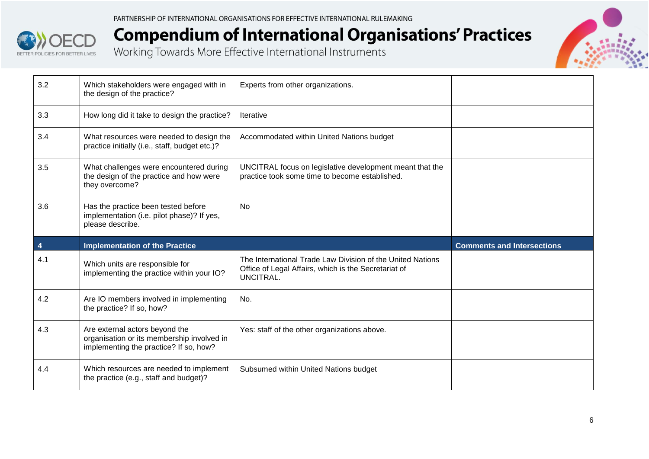



| 3.2 | Which stakeholders were engaged with in<br>the design of the practice?                                                 | Experts from other organizations.                                                                                               |                                   |
|-----|------------------------------------------------------------------------------------------------------------------------|---------------------------------------------------------------------------------------------------------------------------------|-----------------------------------|
| 3.3 | How long did it take to design the practice?                                                                           | <b>Iterative</b>                                                                                                                |                                   |
| 3.4 | What resources were needed to design the<br>practice initially (i.e., staff, budget etc.)?                             | Accommodated within United Nations budget                                                                                       |                                   |
| 3.5 | What challenges were encountered during<br>the design of the practice and how were<br>they overcome?                   | UNCITRAL focus on legislative development meant that the<br>practice took some time to become established.                      |                                   |
| 3.6 | Has the practice been tested before<br>implementation (i.e. pilot phase)? If yes,<br>please describe.                  | <b>No</b>                                                                                                                       |                                   |
|     |                                                                                                                        |                                                                                                                                 |                                   |
| 4   | <b>Implementation of the Practice</b>                                                                                  |                                                                                                                                 | <b>Comments and Intersections</b> |
| 4.1 | Which units are responsible for<br>implementing the practice within your IO?                                           | The International Trade Law Division of the United Nations<br>Office of Legal Affairs, which is the Secretariat of<br>UNCITRAL. |                                   |
| 4.2 | Are IO members involved in implementing<br>the practice? If so, how?                                                   | No.                                                                                                                             |                                   |
| 4.3 | Are external actors beyond the<br>organisation or its membership involved in<br>implementing the practice? If so, how? | Yes: staff of the other organizations above.                                                                                    |                                   |